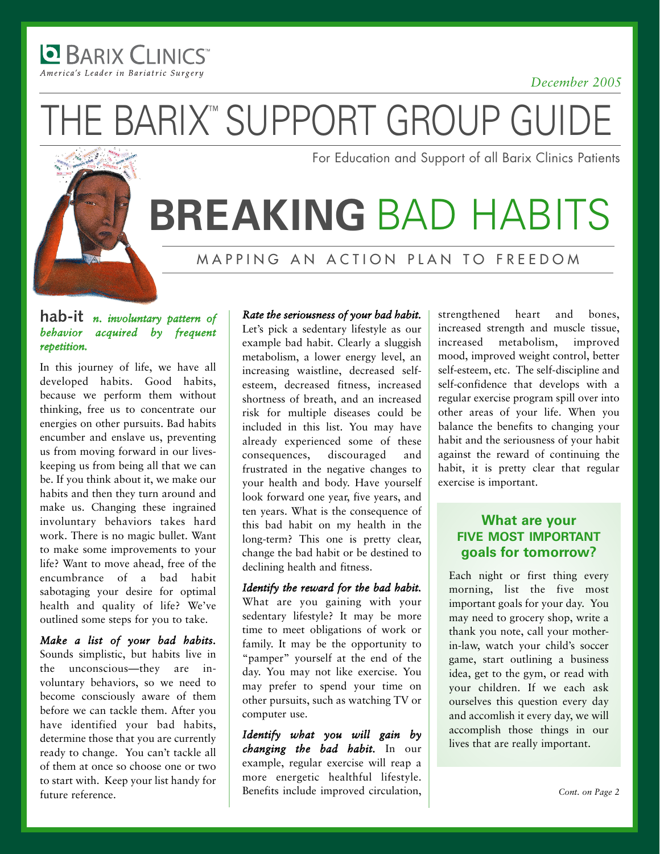America's Leader in Bariatric Surgery

**BARIX CLINICS** 

#### *December 2005*

THE BARIX<sup>™</sup> SUPPORT GROUP GUIDE

For Education and Support of all Barix Clinics Patients

## **BREAKING** BAD HABITS

MAPPING AN ACTION PLAN TO FREEDOM

### **hab-it** *<sup>n</sup>*. *involuntary pattern of behavior acquired by frequent repetition.*

In this journey of life, we have all developed habits. Good habits, because we perform them without thinking, free us to concentrate our energies on other pursuits. Bad habits encumber and enslave us, preventing us from moving forward in our liveskeeping us from being all that we can be. If you think about it, we make our habits and then they turn around and make us. Changing these ingrained involuntary behaviors takes hard work. There is no magic bullet. Want to make some improvements to your life? Want to move ahead, free of the encumbrance of a bad habit sabotaging your desire for optimal health and quality of life? We've outlined some steps for you to take.

*Make a list of your bad habits.* Sounds simplistic, but habits live in the unconscious—they are involuntary behaviors, so we need to become consciously aware of them before we can tackle them. After you have identified your bad habits, determine those that you are currently ready to change. You can't tackle all of them at once so choose one or two to start with. Keep your list handy for future reference.

#### *Rate the seriousness of your bad habit.*

Let's pick a sedentary lifestyle as our example bad habit. Clearly a sluggish metabolism, a lower energy level, an increasing waistline, decreased selfesteem, decreased fitness, increased shortness of breath, and an increased risk for multiple diseases could be included in this list. You may have already experienced some of these consequences, discouraged and frustrated in the negative changes to your health and body. Have yourself look forward one year, five years, and ten years. What is the consequence of this bad habit on my health in the long-term? This one is pretty clear, change the bad habit or be destined to declining health and fitness.

*Identify the reward for the bad habit.* What are you gaining with your sedentary lifestyle? It may be more time to meet obligations of work or family. It may be the opportunity to "pamper" yourself at the end of the day. You may not like exercise. You may prefer to spend your time on other pursuits, such as watching TV or computer use.

*Identify what you will gain by changing the bad habit.* In our example, regular exercise will reap a more energetic healthful lifestyle. Benefits include improved circulation, strengthened heart and bones, increased strength and muscle tissue, increased metabolism, improved mood, improved weight control, better self-esteem, etc. The self-discipline and self-confidence that develops with a regular exercise program spill over into other areas of your life. When you balance the benefits to changing your habit and the seriousness of your habit against the reward of continuing the habit, it is pretty clear that regular exercise is important.

### **What are your FIVE MOST IMPORTANT goals for tomorrow?**

Each night or first thing every morning, list the five most important goals for your day. You may need to grocery shop, write a thank you note, call your motherin-law, watch your child's soccer game, start outlining a business idea, get to the gym, or read with your children. If we each ask ourselves this question every day and accomlish it every day, we will accomplish those things in our lives that are really important.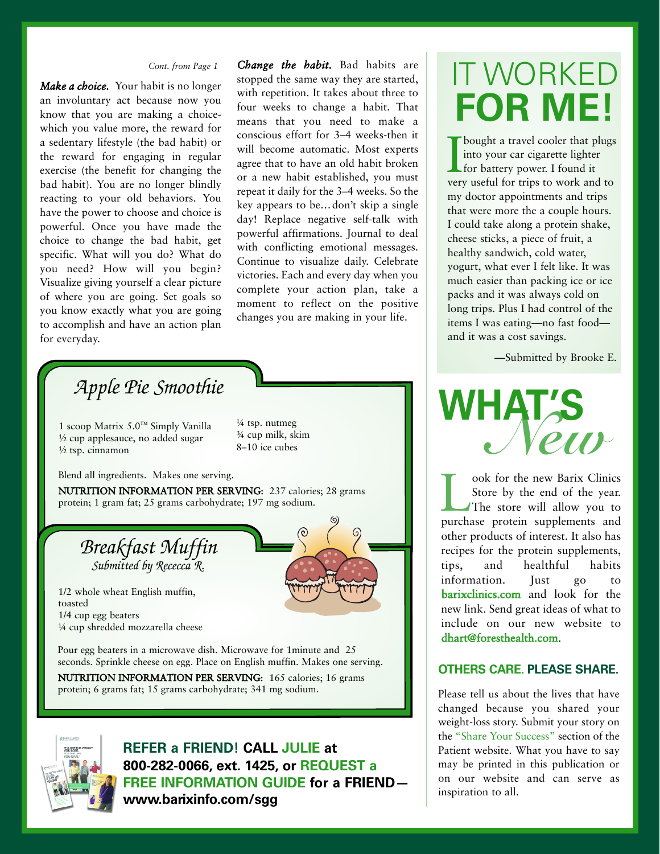*Make a choice.* Your habit is no longer an involuntary act because now you know that you are making a choicewhich you value more, the reward for a sedentary lifestyle (the bad habit) or the reward for engaging in regular exercise (the benefit for changing the bad habit). You are no longer blindly reacting to your old behaviors. You have the power to choose and choice is powerful. Once you have made the choice to change the bad habit, get specific. What will you do? What do you need? How will you begin? Visualize giving yourself a clear picture of where you are going. Set goals so you know exactly what you are going to accomplish and have an action plan for everyday.

*Change the habit.* Bad habits are stopped the same way they are started, with repetition. It takes about three to four weeks to change a habit. That means that you need to make a conscious effort for 3–4 weeks-then it will become automatic. Most experts agree that to have an old habit broken or a new habit established, you must repeat it daily for the 3–4 weeks. So the key appears to be…don't skip a single day! Replace negative self-talk with powerful affirmations. Journal to deal with conflicting emotional messages. Continue to visualize daily. Celebrate victories. Each and every day when you complete your action plan, take a moment to reflect on the positive changes you are making in your life.

### *Apple Pie Smoothie*

1 scoop Matrix 5.0™ Simply Vanilla ½ cup applesauce, no added sugar ½ tsp. cinnamon

 $\frac{1}{4}$  tsp. nutmeg ¾ cup milk, skim 8–10 ice cubes

Blend all ingredients. Makes one serving.

NUTRITION INFORMATION PER SERVING: 237 calories; 28 grams protein; 1 gram fat; 25 grams carbohydrate; 197 mg sodium.

*Breakfast Muffin Submitted by Rececca R.*

1/2 whole wheat English muffin, toasted 1/4 cup egg beaters ¼ cup shredded mozzarella cheese

Pour egg beaters in a microwave dish. Microwave for 1minute and 25 seconds. Sprinkle cheese on egg. Place on English muffin. Makes one serving.

NUTRITION INFORMATION PER SERVING: 165 calories; 16 grams protein; 6 grams fat; 15 grams carbohydrate; 341 mg sodium.



**REFER a FRIEND! CALL JULIE at 8002820066, ext. 1425, or REQUEST a FREE INFORMATION GUIDE for a FRIEND www.barixinfo.com/sgg**

### *Cont. from Page 1* IT WORKED **FOR ME!**

I<sub>ver</sub> bought a travel cooler that plugs into your car cigarette lighter for battery power. I found it very useful for trips to work and to my doctor appointments and trips that were more the a couple hours. I could take along a protein shake, cheese sticks, a piece of fruit, a healthy sandwich, cold water, yogurt, what ever I felt like. It was much easier than packing ice or ice packs and it was always cold on long trips. Plus I had control of the items I was eating—no fast food and it was a cost savings.

—Submitted by Brooke E.



ook for the new Barix Clinics<br>Store by the end of the year.<br>The store will allow you to Store by the end of the year. The store will allow you to purchase protein supplements and other products of interest. It also has recipes for the protein supplements, tips, and healthful habits information. Just go to barixclinics.com and look for the new link. Send great ideas of what to include on our new website to dhart@foresthealth.com.

#### **OTHERS CARE. PLEASE SHARE.**

Please tell us about the lives that have changed because you shared your weight-loss story. Submit your story on the "Share Your Success" section of the Patient website. What you have to say may be printed in this publication or on our website and can serve as inspiration to all.

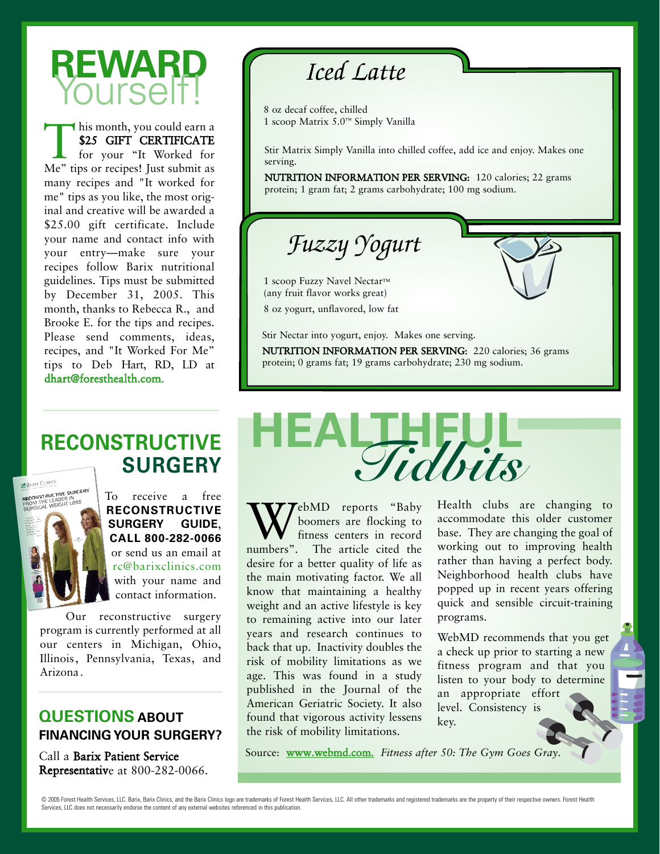## **REWARD** Yourself!

This month, you could earn a<br>\$25 GIFT CERTIFICATE<br>for your "It Worked for<br>Me" tips or recipes! Just submit as \$25 GIFT CERTIFICATE for your "It Worked for Me" tips or recipes! Just submit as many recipes and "It worked for me" tips as you like, the most original and creative will be awarded a \$25.00 gift certificate. Include your name and contact info with your entry—make sure your recipes follow Barix nutritional guidelines. Tips must be submitted by December 31, 2005. This month, thanks to Rebecca R., and Brooke E. for the tips and recipes. Please send comments, ideas, recipes, and "It Worked For Me" tips to Deb Hart, RD, LD at dhart@foresthealth.com.

### *Iced Latte*

8 oz decaf coffee, chilled 1 scoop Matrix 5.0™ Simply Vanilla

Stir Matrix Simply Vanilla into chilled coffee, add ice and enjoy. Makes one serving.

NUTRITION INFORMATION PER SERVING: 120 calories; 22 grams protein; 1 gram fat; 2 grams carbohydrate; 100 mg sodium.

*Fuzzy Yogurt*

1 scoop Fuzzy Navel Nectar™ (any fruit flavor works great)

8 oz yogurt, unflavored, low fat

Stir Nectar into yogurt, enjoy. Makes one serving.

NUTRITION INFORMATION PER SERVING: 220 calories; 36 grams protein; 0 grams fat; 19 grams carbohydrate; 230 mg sodium.

### **RECONSTRUCTIVE SURGERY**



To receive a free **RECONSTRUCTIVE SURGERY GUIDE**, **CALL 8002820066** or send us an email at rc@barixclinics.com with your name and contact information.

Our reconstructive surgery program is currently performed at all our centers in Michigan, Ohio, Illinois, Pennsylvania, Texas, and Arizona.

### **QUESTIONS ABOUT FINANCING YOUR SURGERY?**

Call a Barix Patient Service Representative at 800-282-0066.

# **HEALTHFUL** *Tidbits*

rebMD reports "Baby" boomers are flocking to fitness centers in record numbers". The article cited the desire for a better quality of life as the main motivating factor. We all know that maintaining a healthy weight and an active lifestyle is key to remaining active into our later years and research continues to back that up. Inactivity doubles the risk of mobility limitations as we age. This was found in a study published in the Journal of the American Geriatric Society. It also found that vigorous activity lessens the risk of mobility limitations.

Health clubs are changing to accommodate this older customer base. They are changing the goal of working out to improving health rather than having a perfect body. Neighborhood health clubs have popped up in recent years offering quick and sensible circuit-training programs.

WebMD recommends that you get a check up prior to starting a new fitness program and that you listen to your body to determine an appropriate effort level. Consistency is key.

Source: www.webmd.com. *Fitness after 50: The Gym Goes Gray*.

<sup>@ 2005</sup> Forest Health Services, LLC. Barix, Barix Clinics, and the Barix Clinics logo are trademarks of Forest Health Services, LLC. All other trademarks and registered trademarks are the property of their respective owners Services, LLC does not necessarily endorse the content of any external websites referenced in this publication